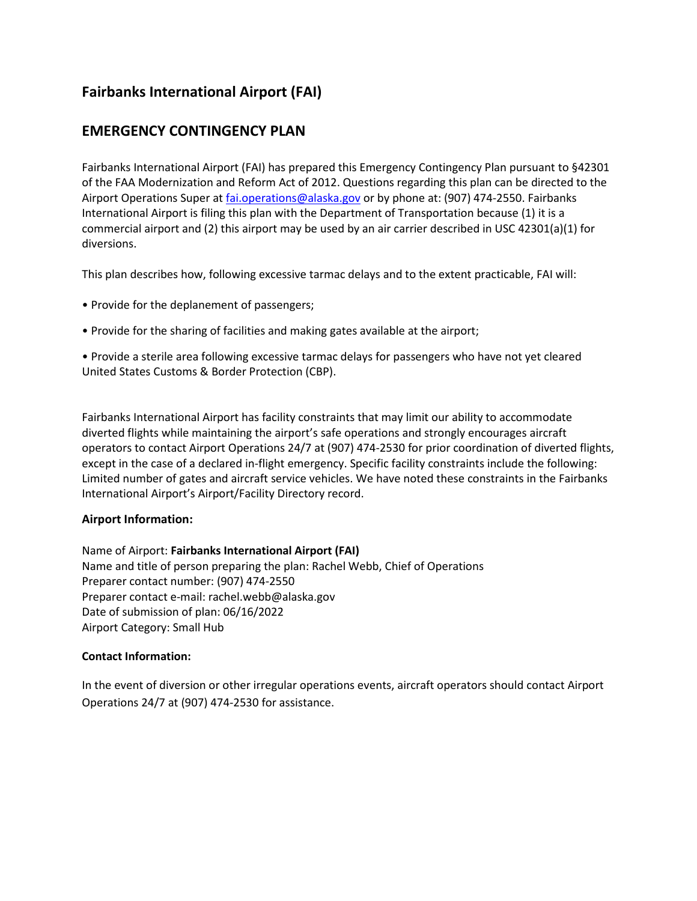# **Fairbanks International Airport (FAI)**

# **EMERGENCY CONTINGENCY PLAN**

Fairbanks International Airport (FAI) has prepared this Emergency Contingency Plan pursuant to §42301 of the FAA Modernization and Reform Act of 2012. Questions regarding this plan can be directed to the Airport Operations Super at *fai.operations@alaska.gov* or by phone at: (907) 474-2550. Fairbanks International Airport is filing this plan with the Department of Transportation because (1) it is a commercial airport and (2) this airport may be used by an air carrier described in USC 42301(a)(1) for diversions.

This plan describes how, following excessive tarmac delays and to the extent practicable, FAI will:

- Provide for the deplanement of passengers;
- Provide for the sharing of facilities and making gates available at the airport;

• Provide a sterile area following excessive tarmac delays for passengers who have not yet cleared United States Customs & Border Protection (CBP).

Fairbanks International Airport has facility constraints that may limit our ability to accommodate diverted flights while maintaining the airport's safe operations and strongly encourages aircraft operators to contact Airport Operations 24/7 at (907) 474-2530 for prior coordination of diverted flights, except in the case of a declared in-flight emergency. Specific facility constraints include the following: Limited number of gates and aircraft service vehicles. We have noted these constraints in the Fairbanks International Airport's Airport/Facility Directory record.

# **Airport Information:**

Name of Airport: **Fairbanks International Airport (FAI)** Name and title of person preparing the plan: Rachel Webb, Chief of Operations Preparer contact number: (907) 474-2550 Preparer contact e-mail: rachel.webb@alaska.gov Date of submission of plan: 06/16/2022 Airport Category: Small Hub

#### **Contact Information:**

In the event of diversion or other irregular operations events, aircraft operators should contact Airport Operations 24/7 at (907) 474-2530 for assistance.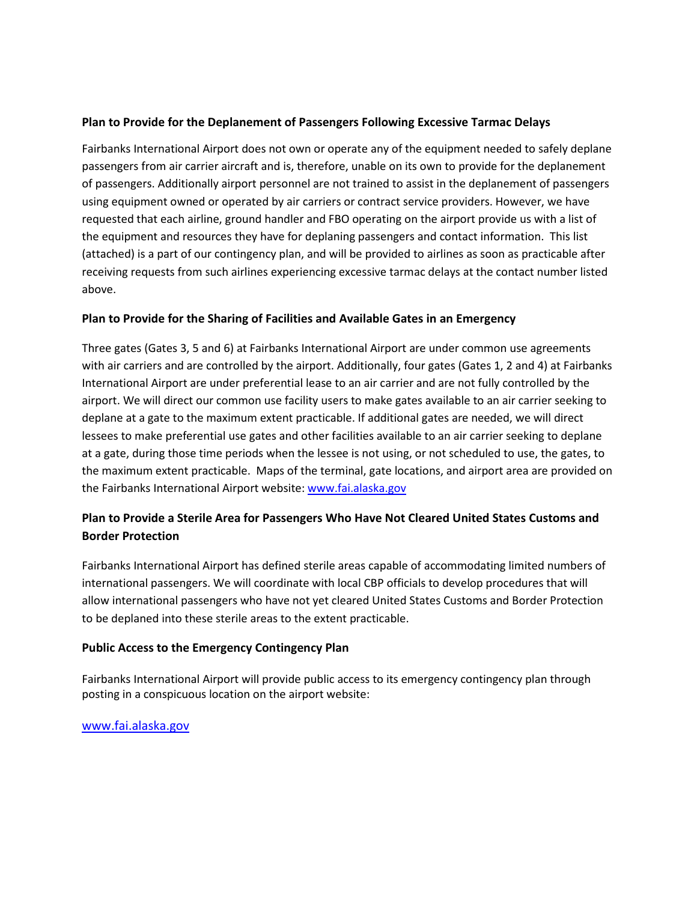### **Plan to Provide for the Deplanement of Passengers Following Excessive Tarmac Delays**

Fairbanks International Airport does not own or operate any of the equipment needed to safely deplane passengers from air carrier aircraft and is, therefore, unable on its own to provide for the deplanement of passengers. Additionally airport personnel are not trained to assist in the deplanement of passengers using equipment owned or operated by air carriers or contract service providers. However, we have requested that each airline, ground handler and FBO operating on the airport provide us with a list of the equipment and resources they have for deplaning passengers and contact information. This list (attached) is a part of our contingency plan, and will be provided to airlines as soon as practicable after receiving requests from such airlines experiencing excessive tarmac delays at the contact number listed above.

#### **Plan to Provide for the Sharing of Facilities and Available Gates in an Emergency**

Three gates (Gates 3, 5 and 6) at Fairbanks International Airport are under common use agreements with air carriers and are controlled by the airport. Additionally, four gates (Gates 1, 2 and 4) at Fairbanks International Airport are under preferential lease to an air carrier and are not fully controlled by the airport. We will direct our common use facility users to make gates available to an air carrier seeking to deplane at a gate to the maximum extent practicable. If additional gates are needed, we will direct lessees to make preferential use gates and other facilities available to an air carrier seeking to deplane at a gate, during those time periods when the lessee is not using, or not scheduled to use, the gates, to the maximum extent practicable. Maps of the terminal, gate locations, and airport area are provided on the Fairbanks International Airport website: [www.fai.alaska.gov](http://www.fai.alaska.gov/)

# **Plan to Provide a Sterile Area for Passengers Who Have Not Cleared United States Customs and Border Protection**

Fairbanks International Airport has defined sterile areas capable of accommodating limited numbers of international passengers. We will coordinate with local CBP officials to develop procedures that will allow international passengers who have not yet cleared United States Customs and Border Protection to be deplaned into these sterile areas to the extent practicable.

# **Public Access to the Emergency Contingency Plan**

Fairbanks International Airport will provide public access to its emergency contingency plan through posting in a conspicuous location on the airport website:

# [www.fai.alaska.gov](http://www.fai.alaska.gov/)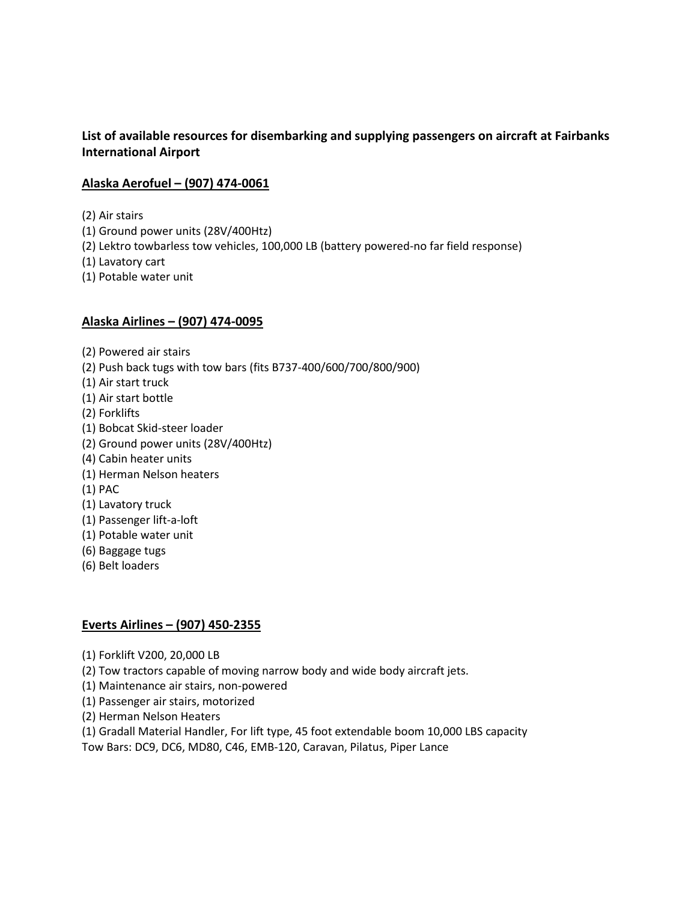# **List of available resources for disembarking and supplying passengers on aircraft at Fairbanks International Airport**

# **Alaska Aerofuel – (907) 474-0061**

(2) Air stairs

(1) Ground power units (28V/400Htz)

(2) Lektro towbarless tow vehicles, 100,000 LB (battery powered-no far field response)

(1) Lavatory cart

(1) Potable water unit

# **Alaska Airlines – (907) 474-0095**

(2) Powered air stairs

(2) Push back tugs with tow bars (fits B737-400/600/700/800/900)

- (1) Air start truck
- (1) Air start bottle
- (2) Forklifts
- (1) Bobcat Skid-steer loader
- (2) Ground power units (28V/400Htz)
- (4) Cabin heater units
- (1) Herman Nelson heaters
- (1) PAC
- (1) Lavatory truck
- (1) Passenger lift-a-loft
- (1) Potable water unit
- (6) Baggage tugs
- (6) Belt loaders

# **Everts Airlines – (907) 450-2355**

- (1) Forklift V200, 20,000 LB
- (2) Tow tractors capable of moving narrow body and wide body aircraft jets.
- (1) Maintenance air stairs, non-powered
- (1) Passenger air stairs, motorized
- (2) Herman Nelson Heaters
- (1) Gradall Material Handler, For lift type, 45 foot extendable boom 10,000 LBS capacity

Tow Bars: DC9, DC6, MD80, C46, EMB-120, Caravan, Pilatus, Piper Lance